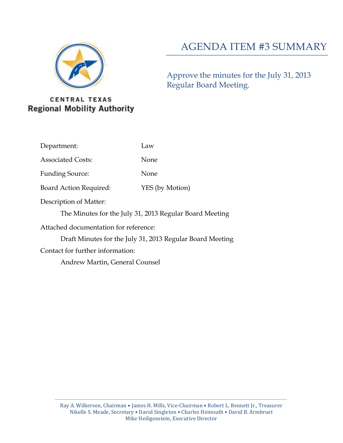

# AGENDA ITEM #3 SUMMARY

Approve the minutes for the July 31, 2013 Regular Board Meeting.

# **CENTRAL TEXAS Regional Mobility Authority**

- Department: Law
- Associated Costs: None
- Funding Source: None
- Board Action Required: YES (by Motion)
- Description of Matter:
	- The Minutes for the July 31, 2013 Regular Board Meeting
- Attached documentation for reference:
	- Draft Minutes for the July 31, 2013 Regular Board Meeting
- Contact for further information:
	- Andrew Martin, General Counsel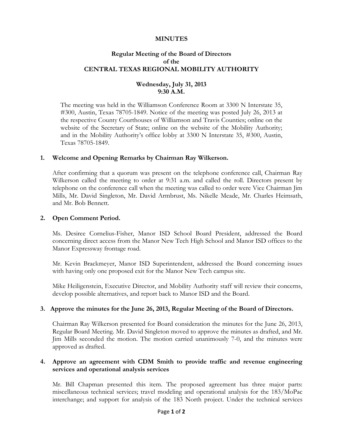### **MINUTES**

# **Regular Meeting of the Board of Directors of the CENTRAL TEXAS REGIONAL MOBILITY AUTHORITY**

# **Wednesday, July 31, 2013 9:30 A.M.**

The meeting was held in the Williamson Conference Room at 3300 N Interstate 35, #300, Austin, Texas 78705-1849. Notice of the meeting was posted July 26, 2013 at the respective County Courthouses of Williamson and Travis Counties; online on the website of the Secretary of State; online on the website of the Mobility Authority; and in the Mobility Authority's office lobby at 3300 N Interstate 35, #300, Austin, Texas 78705-1849.

### **1. Welcome and Opening Remarks by Chairman Ray Wilkerson.**

After confirming that a quorum was present on the telephone conference call, Chairman Ray Wilkerson called the meeting to order at 9:31 a.m. and called the roll. Directors present by telephone on the conference call when the meeting was called to order were Vice Chairman Jim Mills, Mr. David Singleton, Mr. David Armbrust, Ms. Nikelle Meade, Mr. Charles Heimsath, and Mr. Bob Bennett.

#### **2. Open Comment Period.**

Ms. Desiree Cornelius-Fisher, Manor ISD School Board President, addressed the Board concerning direct access from the Manor New Tech High School and Manor ISD offices to the Manor Expressway frontage road.

Mr. Kevin Brackmeyer, Manor ISD Superintendent, addressed the Board concerning issues with having only one proposed exit for the Manor New Tech campus site.

Mike Heiligenstein, Executive Director, and Mobility Authority staff will review their concerns, develop possible alternatives, and report back to Manor ISD and the Board.

### **3. Approve the minutes for the June 26, 2013, Regular Meeting of the Board of Directors.**

Chairman Ray Wilkerson presented for Board consideration the minutes for the June 26, 2013, Regular Board Meeting. Mr. David Singleton moved to approve the minutes as drafted, and Mr. Jim Mills seconded the motion. The motion carried unanimously 7-0, and the minutes were approved as drafted.

### **4. Approve an agreement with CDM Smith to provide traffic and revenue engineering services and operational analysis services**

Mr. Bill Chapman presented this item. The proposed agreement has three major parts: miscellaneous technical services; travel modeling and operational analysis for the 183/MoPac interchange; and support for analysis of the 183 North project. Under the technical services